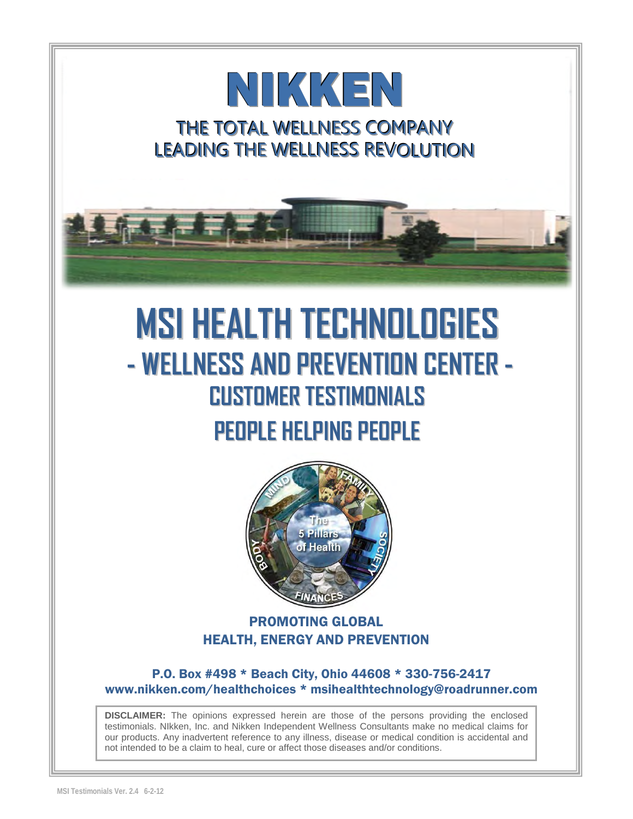# NIKKEN THE TOTAL WELLNESS COMPANY LEADING THE WELLNESS REVOLUTION



# **MSI HEALTH TECHNOLOGIES - WELLNESS AND PREVENTION CENTER - CUSTOMER TESTIMONIALS PEOPLE HELPING PEOPLE**



#### PROMOTING GLOBAL HEALTH, ENERGY AND PREVENTION

P.O. Box #498 \* Beach City, Ohio 44608 \* 330-756-2417 [www.nikken.com/healthchoices](http://www.mynikken.net/healthchoices) \* msihealthtechnology@roadrunner.com

**DISCLAIMER:** The opinions expressed herein are those of the persons providing the enclosed testimonials. NIkken, Inc. and Nikken Independent Wellness Consultants make no medical claims for our products. Any inadvertent reference to any illness, disease or medical condition is accidental and not intended to be a claim to heal, cure or affect those diseases and/or conditions.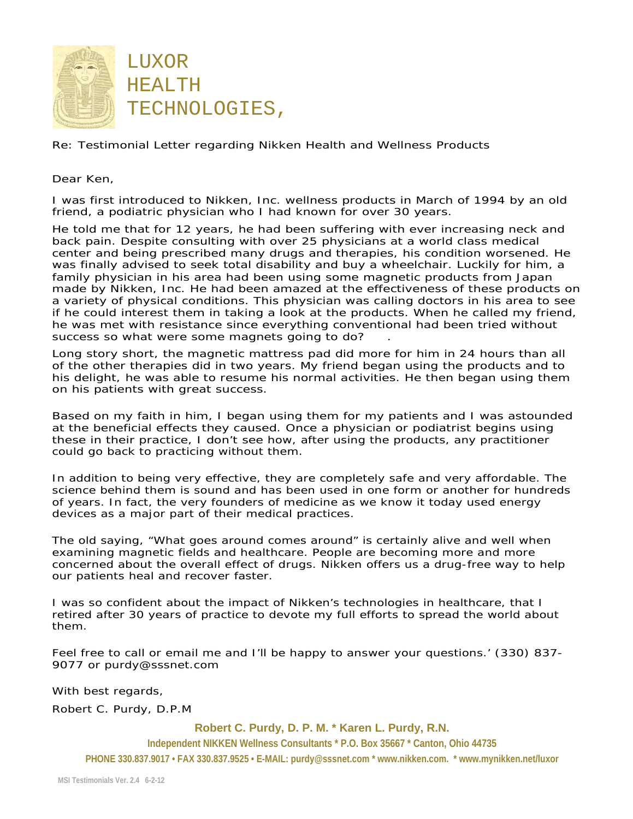

Re: Testimonial Letter regarding Nikken Health and Wellness Products

Dear Ken,

I was first introduced to Nikken, Inc. wellness products in March of 1994 by an old friend, a podiatric physician who I had known for over 30 years.

He told me that for 12 years, he had been suffering with ever increasing neck and back pain. Despite consulting with over 25 physicians at a world class medical center and being prescribed many drugs and therapies, his condition worsened. He was finally advised to seek total disability and buy a wheelchair. Luckily for him, a family physician in his area had been using some magnetic products from Japan made by Nikken, Inc. He had been amazed at the effectiveness of these products on a variety of physical conditions. This physician was calling doctors in his area to see if he could interest them in taking a look at the products. When he called my friend, he was met with resistance since everything conventional had been tried without success so what were some magnets going to do?

Long story short, the magnetic mattress pad did more for him in 24 hours than all of the other therapies did in two years. My friend began using the products and to his delight, he was able to resume his normal activities. He then began using them on his patients with great success.

Based on my faith in him, I began using them for my patients and I was astounded at the beneficial effects they caused. Once a physician or podiatrist begins using these in their practice, I don't see how, after using the products, any practitioner could go back to practicing without them.

In addition to being very effective, they are completely safe and very affordable. The science behind them is sound and has been used in one form or another for hundreds of years. In fact, the very founders of medicine as we know it today used energy devices as a major part of their medical practices.

The old saying, "What goes around comes around" is certainly alive and well when examining magnetic fields and healthcare. People are becoming more and more concerned about the overall effect of drugs. Nikken offers us a drug-free way to help our patients heal and recover faster.

I was so confident about the impact of Nikken's technologies in healthcare, that I retired after 30 years of practice to devote my full efforts to spread the world about them.

Feel free to call or email me and I'll be happy to answer your questions.' (330) 837- 9077 or [purdy@sssnet.com](mailto:purdy@sssn) 

With best regards,

Robert C. Purdy, D.P.M

**Robert C. Purdy, D. P. M. \* Karen L. Purdy, R.N.**

**Independent NIKKEN Wellness Consultants \* P.O. Box 35667 \* Canton, Ohio 44735**

**PHONE 330.837.9017 • FAX 330.837.9525 • E-MAIL: [purdy@sssnet.com](mailto:purdy@sssnet.com) \* [www.nikken.com.](http://www.nikken.com/) \* [www.mynikken.net/luxor](http://www.5pillars.com/luxor)**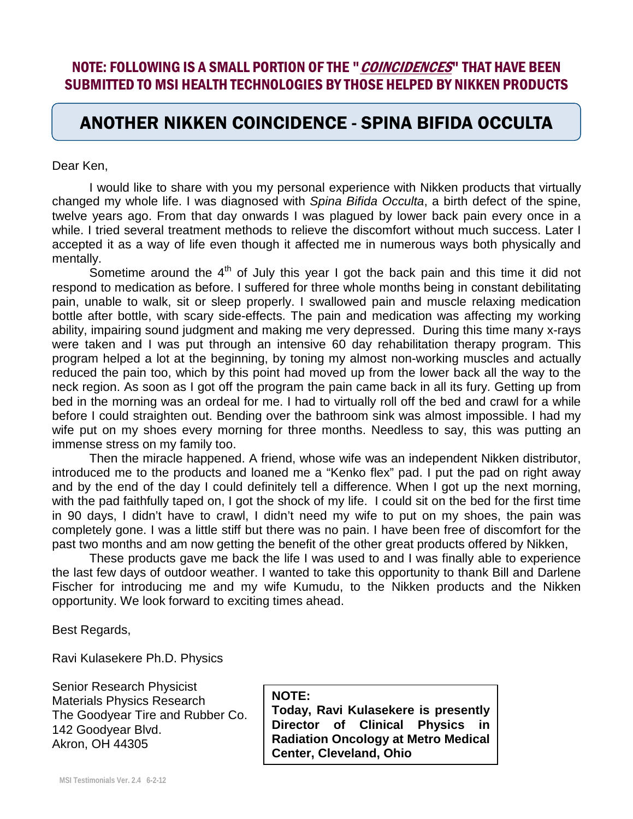#### NOTE: FOLLOWING IS A SMALL PORTION OF THE "*COINCIDENCES*" THAT HAVE BEEN SUBMITTED TO MSI HEALTH TECHNOLOGIES BY THOSE HELPED BY NIKKEN PRODUCTS

#### ANOTHER NIKKEN COINCIDENCE - SPINA BIFIDA OCCULTA

Dear Ken,

 $\overline{\phantom{0}}$ 

 $\overline{\phantom{0}}$ 

I would like to share with you my personal experience with Nikken products that virtually changed my whole life. I was diagnosed with *Spina Bifida Occulta*, a birth defect of the spine, twelve years ago. From that day onwards I was plagued by lower back pain every once in a while. I tried several treatment methods to relieve the discomfort without much success. Later I accepted it as a way of life even though it affected me in numerous ways both physically and mentally.

Sometime around the  $4<sup>th</sup>$  of July this year I got the back pain and this time it did not respond to medication as before. I suffered for three whole months being in constant debilitating pain, unable to walk, sit or sleep properly. I swallowed pain and muscle relaxing medication bottle after bottle, with scary side-effects. The pain and medication was affecting my working ability, impairing sound judgment and making me very depressed. During this time many x-rays were taken and I was put through an intensive 60 day rehabilitation therapy program. This program helped a lot at the beginning, by toning my almost non-working muscles and actually reduced the pain too, which by this point had moved up from the lower back all the way to the neck region. As soon as I got off the program the pain came back in all its fury. Getting up from bed in the morning was an ordeal for me. I had to virtually roll off the bed and crawl for a while before I could straighten out. Bending over the bathroom sink was almost impossible. I had my wife put on my shoes every morning for three months. Needless to say, this was putting an immense stress on my family too.

Then the miracle happened. A friend, whose wife was an independent Nikken distributor, introduced me to the products and loaned me a "Kenko flex" pad. I put the pad on right away and by the end of the day I could definitely tell a difference. When I got up the next morning, with the pad faithfully taped on, I got the shock of my life. I could sit on the bed for the first time in 90 days, I didn't have to crawl, I didn't need my wife to put on my shoes, the pain was completely gone. I was a little stiff but there was no pain. I have been free of discomfort for the past two months and am now getting the benefit of the other great products offered by Nikken,

These products gave me back the life I was used to and I was finally able to experience the last few days of outdoor weather. I wanted to take this opportunity to thank Bill and Darlene Fischer for introducing me and my wife Kumudu, to the Nikken products and the Nikken opportunity. We look forward to exciting times ahead.

Best Regards,

Ravi Kulasekere Ph.D. Physics

Senior Research Physicist Materials Physics Research The Goodyear Tire and Rubber Co. 142 Goodyear Blvd. Akron, OH 44305

**NOTE: Today, Ravi Kulasekere is presently Director of Clinical Physics in Radiation Oncology at Metro Medical Center, Cleveland, Ohio**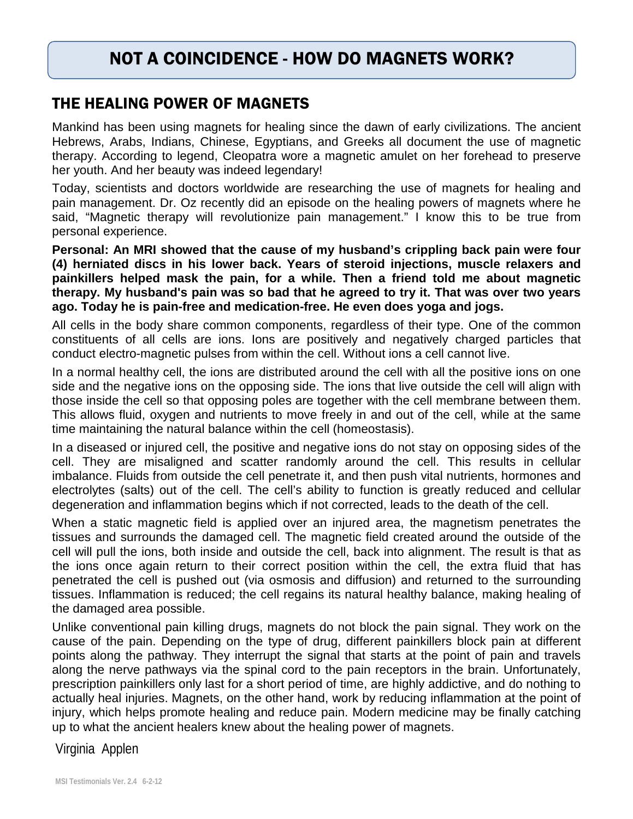#### NOT A COINCIDENCE - HOW DO MAGNETS WORK?

#### THE HEALING POWER OF MAGNETS

Mankind has been using magnets for healing since the dawn of early civilizations. The ancient Hebrews, Arabs, Indians, Chinese, Egyptians, and Greeks all document the use of magnetic therapy. According to legend, Cleopatra wore a magnetic amulet on her forehead to preserve her youth. And her beauty was indeed legendary!

Today, scientists and doctors worldwide are researching the use of magnets for healing and pain management. Dr. Oz recently did an episode on the healing powers of magnets where he said, "Magnetic therapy will revolutionize pain management." I know this to be true from personal experience.

**Personal: An MRI showed that the cause of my husband's crippling back pain were four (4) herniated discs in his lower back. Years of steroid injections, muscle relaxers and painkillers helped mask the pain, for a while. Then a friend told me about magnetic therapy. My husband's pain was so bad that he agreed to try it. That was over two years ago. Today he is pain-free and medication-free. He even does yoga and jogs.** 

All cells in the body share common components, regardless of their type. One of the common constituents of all cells are ions. Ions are positively and negatively charged particles that conduct electro-magnetic pulses from within the cell. Without ions a cell cannot live.

In a normal healthy cell, the ions are distributed around the cell with all the positive ions on one side and the negative ions on the opposing side. The ions that live outside the cell will align with those inside the cell so that opposing poles are together with the cell membrane between them. This allows fluid, oxygen and nutrients to move freely in and out of the cell, while at the same time maintaining the natural balance within the cell (homeostasis).

In a diseased or injured cell, the positive and negative ions do not stay on opposing sides of the cell. They are misaligned and scatter randomly around the cell. This results in cellular imbalance. Fluids from outside the cell penetrate it, and then push vital nutrients, hormones and electrolytes (salts) out of the cell. The cell's ability to function is greatly reduced and cellular degeneration and inflammation begins which if not corrected, leads to the death of the cell.

When a static magnetic field is applied over an injured area, the magnetism penetrates the tissues and surrounds the damaged cell. The magnetic field created around the outside of the cell will pull the ions, both inside and outside the cell, back into alignment. The result is that as the ions once again return to their correct position within the cell, the extra fluid that has penetrated the cell is pushed out (via osmosis and diffusion) and returned to the surrounding tissues. Inflammation is reduced; the cell regains its natural healthy balance, making healing of the damaged area possible.

Unlike conventional pain killing drugs, magnets do not block the pain signal. They work on the cause of the pain. Depending on the type of drug, different painkillers block pain at different points along the pathway. They interrupt the signal that starts at the point of pain and travels along the nerve pathways via the spinal cord to the pain receptors in the brain. Unfortunately, prescription painkillers only last for a short period of time, are highly addictive, and do nothing to actually heal injuries. Magnets, on the other hand, work by reducing inflammation at the point of injury, which helps promote healing and reduce pain. Modern medicine may be finally catching up to what the ancient healers knew about the healing power of magnets.

Virginia Applen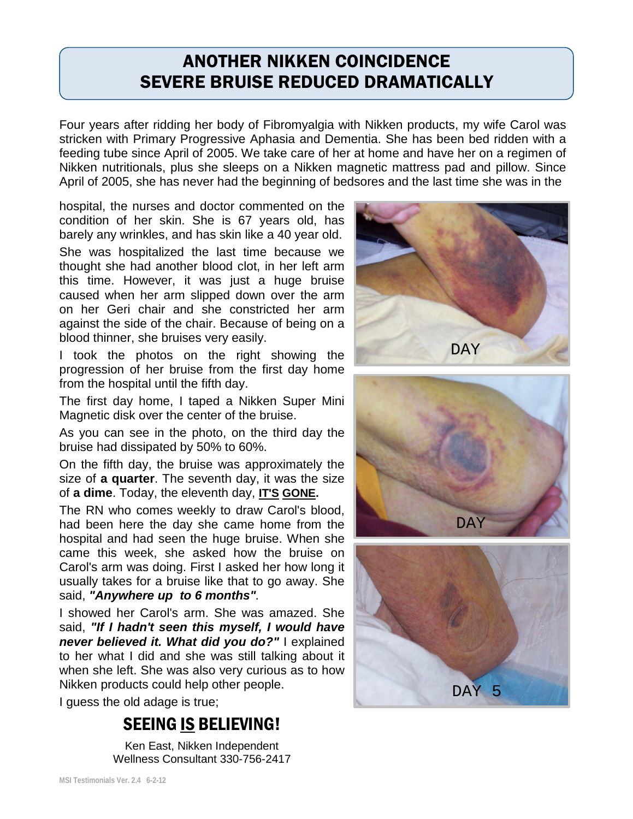#### ANOTHER NIKKEN COINCIDENCE SEVERE BRUISE REDUCED DRAMATICALLY

Four years after ridding her body of Fibromyalgia with Nikken products, my wife Carol was stricken with Primary Progressive Aphasia and Dementia. She has been bed ridden with a feeding tube since April of 2005. We take care of her at home and have her on a regimen of Nikken nutritionals, plus she sleeps on a Nikken magnetic mattress pad and pillow. Since April of 2005, she has never had the beginning of bedsores and the last time she was in the

hospital, the nurses and doctor commented on the condition of her skin. She is 67 years old, has barely any wrinkles, and has skin like a 40 year old. She was hospitalized the last time because we thought she had another blood clot, in her left arm this time. However, it was just a huge bruise caused when her arm slipped down over the arm on her Geri chair and she constricted her arm against the side of the chair. Because of being on a blood thinner, she bruises very easily.

I took the photos on the right showing the progression of her bruise from the first day home from the hospital until the fifth day.

The first day home, I taped a Nikken Super Mini Magnetic disk over the center of the bruise.

As you can see in the photo, on the third day the bruise had dissipated by 50% to 60%.

On the fifth day, the bruise was approximately the size of **a quarter**. The seventh day, it was the size of **a dime**. Today, the eleventh day, **IT'S GONE.**

The RN who comes weekly to draw Carol's blood, had been here the day she came home from the hospital and had seen the huge bruise. When she came this week, she asked how the bruise on Carol's arm was doing. First I asked her how long it usually takes for a bruise like that to go away. She said, *"Anywhere up to 6 months".*

I showed her Carol's arm. She was amazed. She said, *"If I hadn't seen this myself, I would have never believed it. What did you do?"* I explained to her what I did and she was still talking about it when she left. She was also very curious as to how Nikken products could help other people.

I guess the old adage is true;

#### SEEING IS BELIEVING!

Ken East, Nikken Independent Wellness Consultant 330-756-2417





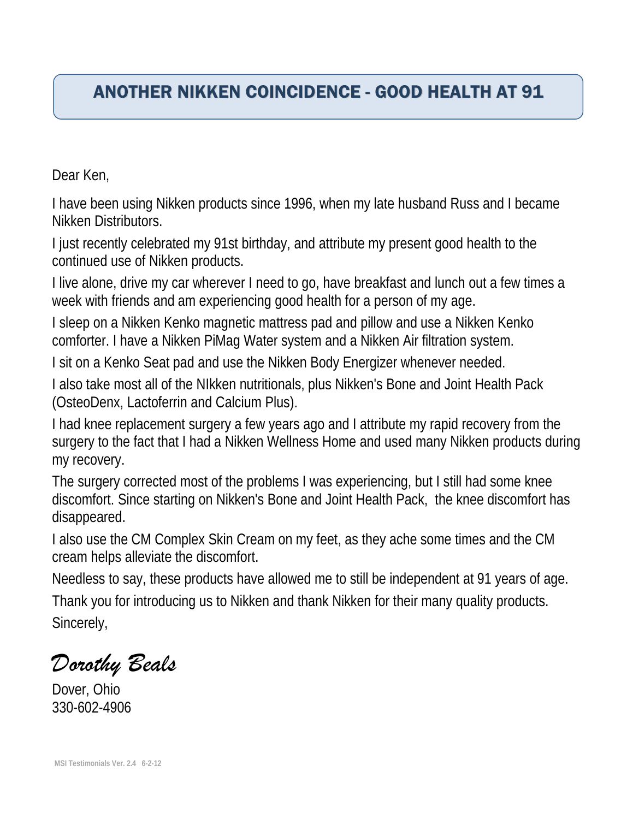# ANOTHER NIKKEN COINCIDENCE - GOOD HEALTH AT 91

Dear Ken,

I have been using Nikken products since 1996, when my late husband Russ and I became Nikken Distributors.

I just recently celebrated my 91st birthday, and attribute my present good health to the continued use of Nikken products.

I live alone, drive my car wherever I need to go, have breakfast and lunch out a few times a week with friends and am experiencing good health for a person of my age.

I sleep on a Nikken Kenko magnetic mattress pad and pillow and use a Nikken Kenko comforter. I have a Nikken PiMag Water system and a Nikken Air filtration system.

I sit on a Kenko Seat pad and use the Nikken Body Energizer whenever needed.

I also take most all of the NIkken nutritionals, plus Nikken's Bone and Joint Health Pack (OsteoDenx, Lactoferrin and Calcium Plus).

I had knee replacement surgery a few years ago and I attribute my rapid recovery from the surgery to the fact that I had a Nikken Wellness Home and used many Nikken products during my recovery.

The surgery corrected most of the problems I was experiencing, but I still had some knee discomfort. Since starting on Nikken's Bone and Joint Health Pack, the knee discomfort has disappeared.

I also use the CM Complex Skin Cream on my feet, as they ache some times and the CM cream helps alleviate the discomfort.

Needless to say, these products have allowed me to still be independent at 91 years of age. Thank you for introducing us to Nikken and thank Nikken for their many quality products. Sincerely,

*Dorothy Beals*

Dover, Ohio 330-602-4906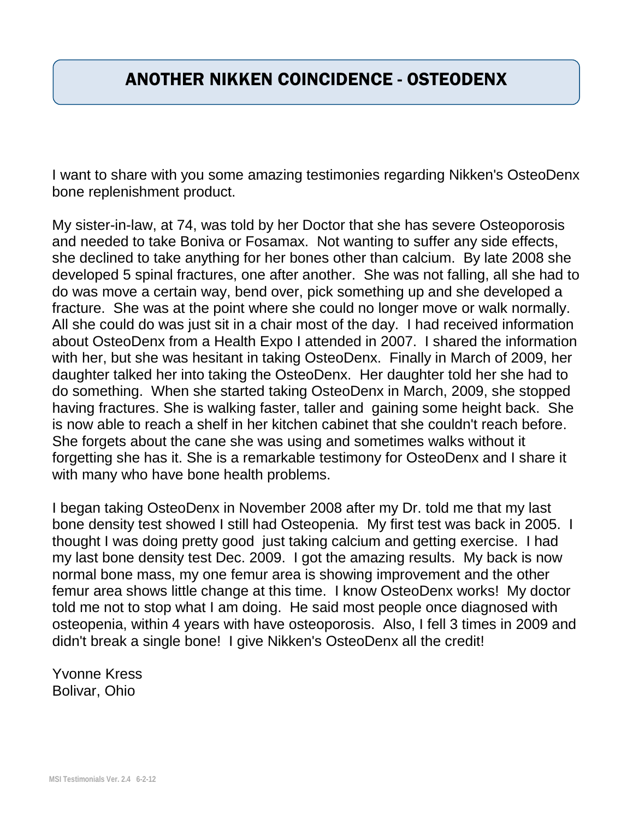#### ANOTHER NIKKEN COINCIDENCE - OSTEODENX

I want to share with you some amazing testimonies regarding Nikken's OsteoDenx bone replenishment product.

My sister-in-law, at 74, was told by her Doctor that she has severe Osteoporosis and needed to take Boniva or Fosamax. Not wanting to suffer any side effects, she declined to take anything for her bones other than calcium. By late 2008 she developed 5 spinal fractures, one after another. She was not falling, all she had to do was move a certain way, bend over, pick something up and she developed a fracture. She was at the point where she could no longer move or walk normally. All she could do was just sit in a chair most of the day. I had received information about OsteoDenx from a Health Expo I attended in 2007. I shared the information with her, but she was hesitant in taking OsteoDenx. Finally in March of 2009, her daughter talked her into taking the OsteoDenx. Her daughter told her she had to do something. When she started taking OsteoDenx in March, 2009, she stopped having fractures. She is walking faster, taller and gaining some height back. She is now able to reach a shelf in her kitchen cabinet that she couldn't reach before. She forgets about the cane she was using and sometimes walks without it forgetting she has it. She is a remarkable testimony for OsteoDenx and I share it with many who have bone health problems.

I began taking OsteoDenx in November 2008 after my Dr. told me that my last bone density test showed I still had Osteopenia. My first test was back in 2005. I thought I was doing pretty good just taking calcium and getting exercise. I had my last bone density test Dec. 2009. I got the amazing results. My back is now normal bone mass, my one femur area is showing improvement and the other femur area shows little change at this time. I know OsteoDenx works! My doctor told me not to stop what I am doing. He said most people once diagnosed with osteopenia, within 4 years with have osteoporosis. Also, I fell 3 times in 2009 and didn't break a single bone! I give Nikken's OsteoDenx all the credit!

Yvonne Kress Bolivar, Ohio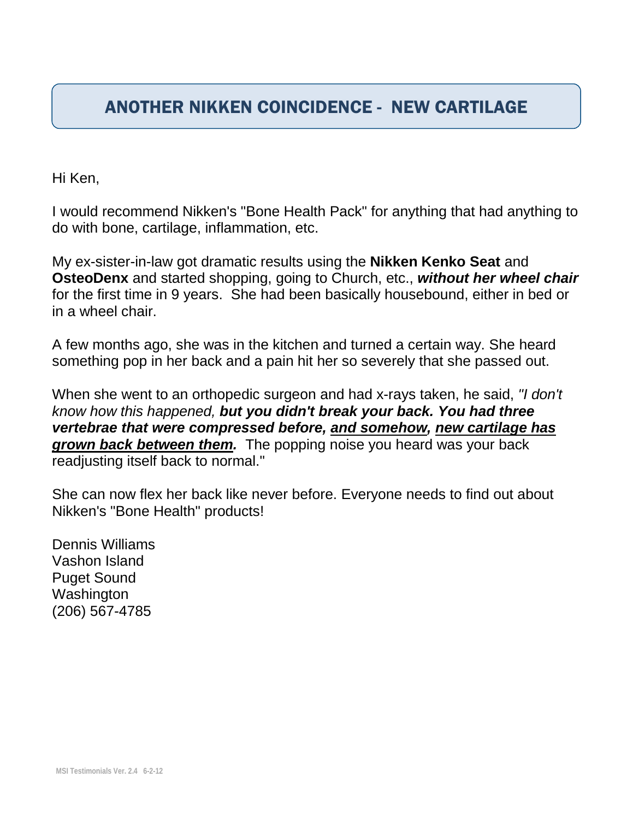#### ANOTHER NIKKEN COINCIDENCE - NEW CARTILAGE

Hi Ken,

I would recommend Nikken's "Bone Health Pack" for anything that had anything to do with bone, cartilage, inflammation, etc.

My ex-sister-in-law got dramatic results using the **Nikken Kenko Seat** and **OsteoDenx** and started shopping, going to Church, etc., *without her wheel chair* for the first time in 9 years. She had been basically housebound, either in bed or in a wheel chair.

A few months ago, she was in the kitchen and turned a certain way. She heard something pop in her back and a pain hit her so severely that she passed out.

When she went to an orthopedic surgeon and had x-rays taken, he said, *"I don't know how this happened, but you didn't break your back. You had three vertebrae that were compressed before, and somehow, new cartilage has grown back between them.* The popping noise you heard was your back readjusting itself back to normal."

She can now flex her back like never before. Everyone needs to find out about Nikken's "Bone Health" products!

Dennis Williams Vashon Island Puget Sound Washington (206) 567-4785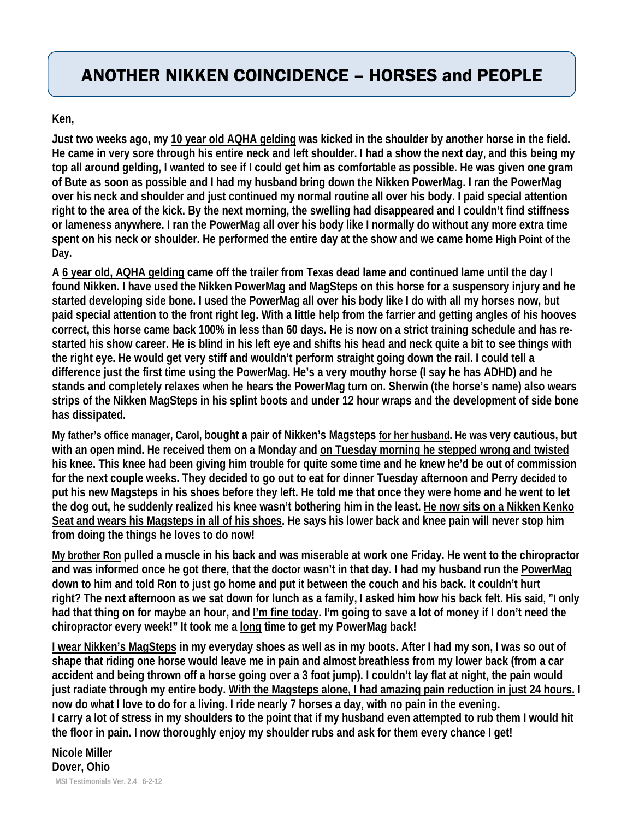# ANOTHER NIKKEN COINCIDENCE – HORSES and PEOPLE

**Ken,** 

**Just two weeks ago, my 10 year old AQHA gelding was kicked in the shoulder by another horse in the field. He came in very sore through his entire neck and left shoulder. I had a show the next day, and this being my top all around gelding, I wanted to see if I could get him as comfortable as possible. He was given one gram of Bute as soon as possible and I had my husband bring down the Nikken PowerMag. I ran the PowerMag over his neck and shoulder and just continued my normal routine all over his body. I paid special attention right to the area of the kick. By the next morning, the swelling had disappeared and I couldn't find stiffness or lameness anywhere. I ran the PowerMag all over his body like I normally do without any more extra time spent on his neck or shoulder. He performed the entire day at the show and we came home High Point of the Day.** 

**A 6 year old, AQHA gelding came off the trailer from Texas dead lame and continued lame until the day I found Nikken. I have used the Nikken PowerMag and MagSteps on this horse for a suspensory injury and he started developing side bone. I used the PowerMag all over his body like I do with all my horses now, but paid special attention to the front right leg. With a little help from the farrier and getting angles of his hooves correct, this horse came back 100% in less than 60 days. He is now on a strict training schedule and has restarted his show career. He is blind in his left eye and shifts his head and neck quite a bit to see things with the right eye. He would get very stiff and wouldn't perform straight going down the rail. I could tell a difference just the first time using the PowerMag. He's a very mouthy horse (I say he has ADHD) and he stands and completely relaxes when he hears the PowerMag turn on. Sherwin (the horse's name) also wears strips of the Nikken MagSteps in his splint boots and under 12 hour wraps and the development of side bone has dissipated.**

**My father's office manager, Carol, bought a pair of Nikken's Magsteps for her husband. He was very cautious, but with an open mind. He received them on a Monday and on Tuesday morning he stepped wrong and twisted his knee. This knee had been giving him trouble for quite some time and he knew he'd be out of commission for the next couple weeks. They decided to go out to eat for dinner Tuesday afternoon and Perry decided to put his new Magsteps in his shoes before they left. He told me that once they were home and he went to let the dog out, he suddenly realized his knee wasn't bothering him in the least. He now sits on a Nikken Kenko Seat and wears his Magsteps in all of his shoes. He says his lower back and knee pain will never stop him from doing the things he loves to do now!**

**My brother Ron pulled a muscle in his back and was miserable at work one Friday. He went to the chiropractor and was informed once he got there, that the doctor wasn't in that day. I had my husband run the PowerMag down to him and told Ron to just go home and put it between the couch and his back. It couldn't hurt right? The next afternoon as we sat down for lunch as a family, I asked him how his back felt. His said, "I only**  had that thing on for maybe an hour, and I'm fine today. I'm going to save a lot of money if I don't need the **chiropractor every week!" It took me a long time to get my PowerMag back!** 

**I wear Nikken's MagSteps in my everyday shoes as well as in my boots. After I had my son, I was so out of shape that riding one horse would leave me in pain and almost breathless from my lower back (from a car accident and being thrown off a horse going over a 3 foot jump). I couldn't lay flat at night, the pain would just radiate through my entire body. With the Magsteps alone, I had amazing pain reduction in just 24 hours. I now do what I love to do for a living. I ride nearly 7 horses a day, with no pain in the evening. I carry a lot of stress in my shoulders to the point that if my husband even attempted to rub them I would hit the floor in pain. I now thoroughly enjoy my shoulder rubs and ask for them every chance I get!** 

#### **Nicole Miller Dover, Ohio MSI Testimonials Ver. 2.4 6-2-12**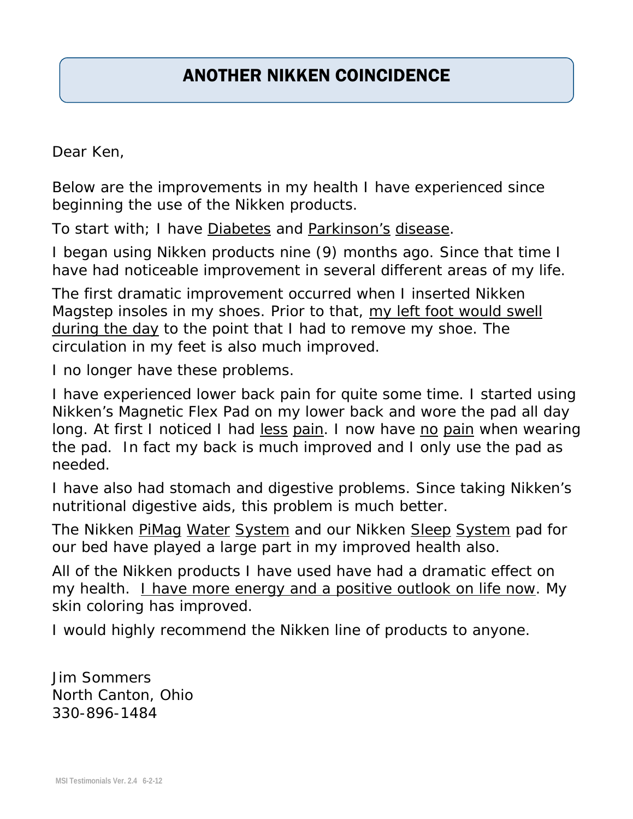# ANOTHER NIKKEN COINCIDENCE

Dear Ken,

Below are the improvements in my health I have experienced since beginning the use of the Nikken products.

To start with; I have Diabetes and Parkinson's disease.

I began using Nikken products nine (9) months ago. Since that time I have had noticeable improvement in several different areas of my life.

The first dramatic improvement occurred when I inserted Nikken Magstep insoles in my shoes. Prior to that, my left foot would swell during the day to the point that I had to remove my shoe. The circulation in my feet is also much improved.

I no longer have these problems.

I have experienced lower back pain for quite some time. I started using Nikken's Magnetic Flex Pad on my lower back and wore the pad all day long. At first I noticed I had *less pain*. I now have *no pain* when wearing the pad. In fact my back is much improved and I only use the pad as needed.

I have also had stomach and digestive problems. Since taking Nikken's nutritional digestive aids, this problem is much better.

The Nikken PiMag Water System and our Nikken Sleep System pad for our bed have played a large part in my improved health also.

All of the Nikken products I have used have had a dramatic effect on my health. I have more energy and a positive outlook on life now. My skin coloring has improved.

I would highly recommend the Nikken line of products to anyone.

Jim Sommers North Canton, Ohio 330-896-1484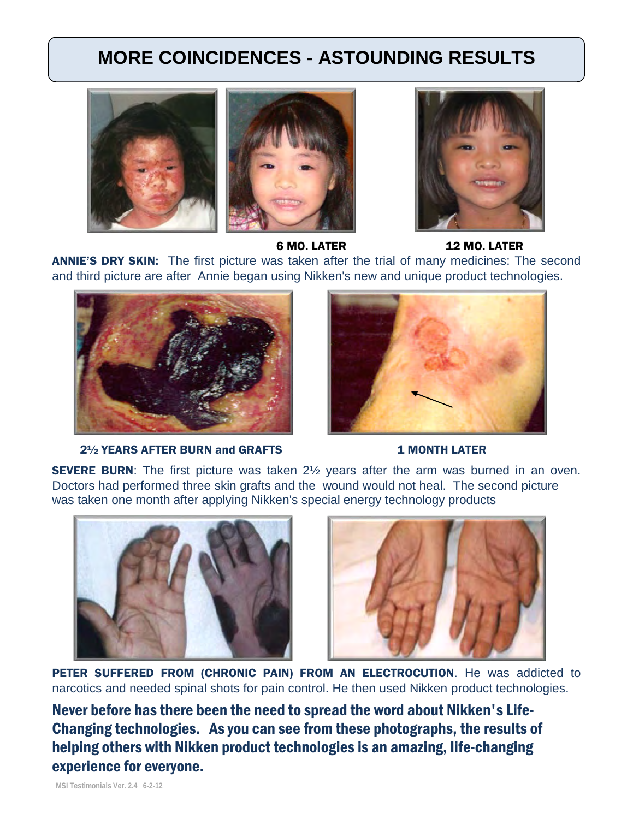## **MORE COINCIDENCES - ASTOUNDING RESULTS**





6 MO. LATER 12 MO. LATER

ANNIE'S DRY SKIN:The first picture was taken after the trial of many medicines: The second and third picture are after Annie began using Nikken's new and unique product technologies.



2<sup>1</sup>/<sub>2</sub> YEARS AFTER BURN and GRAFTS 1 MONTH LATER



**SEVERE BURN:** The first picture was taken 2<sup>1/2</sup> years after the arm was burned in an oven. Doctors had performed three skin grafts and the wound would not heal. The second picture was taken one month after applying Nikken's special energy technology products





PETER SUFFERED FROM (CHRONIC PAIN) FROM AN ELECTROCUTION. He was addicted to narcotics and needed spinal shots for pain control. He then used Nikken product technologies.

Never before has there been the need to spread the word about Nikken's Life-Changing technologies. As you can see from these photographs, the results of helping others with Nikken product technologies is an amazing, life-changing experience for everyone.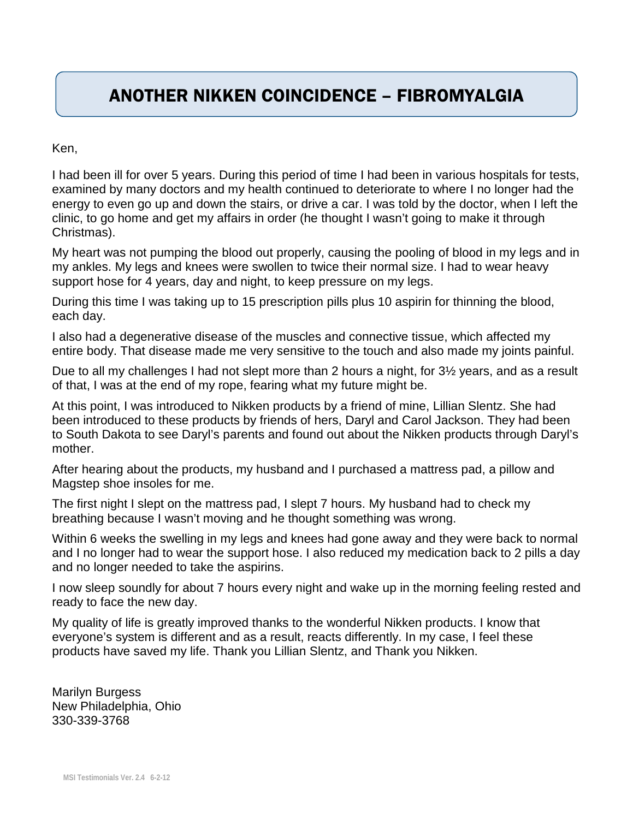#### ANOTHER NIKKEN COINCIDENCE – FIBROMYALGIA

Ken,

I had been ill for over 5 years. During this period of time I had been in various hospitals for tests, examined by many doctors and my health continued to deteriorate to where I no longer had the energy to even go up and down the stairs, or drive a car. I was told by the doctor, when I left the clinic, to go home and get my affairs in order (he thought I wasn't going to make it through Christmas).

My heart was not pumping the blood out properly, causing the pooling of blood in my legs and in my ankles. My legs and knees were swollen to twice their normal size. I had to wear heavy support hose for 4 years, day and night, to keep pressure on my legs.

During this time I was taking up to 15 prescription pills plus 10 aspirin for thinning the blood, each day.

I also had a degenerative disease of the muscles and connective tissue, which affected my entire body. That disease made me very sensitive to the touch and also made my joints painful.

Due to all my challenges I had not slept more than 2 hours a night, for 3½ years, and as a result of that, I was at the end of my rope, fearing what my future might be.

At this point, I was introduced to Nikken products by a friend of mine, Lillian Slentz. She had been introduced to these products by friends of hers, Daryl and Carol Jackson. They had been to South Dakota to see Daryl's parents and found out about the Nikken products through Daryl's mother.

After hearing about the products, my husband and I purchased a mattress pad, a pillow and Magstep shoe insoles for me.

The first night I slept on the mattress pad, I slept 7 hours. My husband had to check my breathing because I wasn't moving and he thought something was wrong.

Within 6 weeks the swelling in my legs and knees had gone away and they were back to normal and I no longer had to wear the support hose. I also reduced my medication back to 2 pills a day and no longer needed to take the aspirins.

I now sleep soundly for about 7 hours every night and wake up in the morning feeling rested and ready to face the new day.

My quality of life is greatly improved thanks to the wonderful Nikken products. I know that everyone's system is different and as a result, reacts differently. In my case, I feel these products have saved my life. Thank you Lillian Slentz, and Thank you Nikken.

Marilyn Burgess New Philadelphia, Ohio 330-339-3768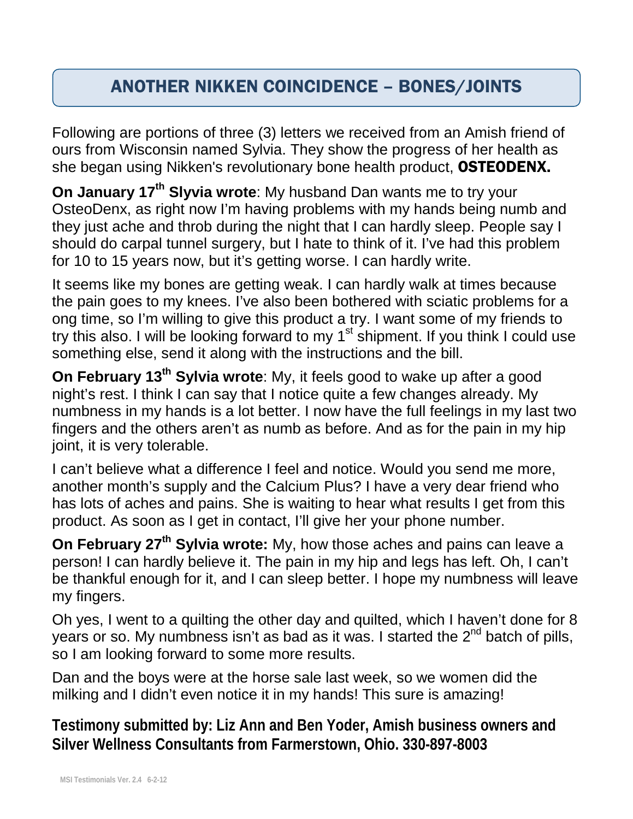## ANOTHER NIKKEN COINCIDENCE – BONES/JOINTS

Following are portions of three (3) letters we received from an Amish friend of ours from Wisconsin named Sylvia. They show the progress of her health as she began using Nikken's revolutionary bone health product, OSTEODENX.

**On January 17<sup>th</sup> Slyvia wrote**: My husband Dan wants me to try your OsteoDenx, as right now I'm having problems with my hands being numb and they just ache and throb during the night that I can hardly sleep. People say I should do carpal tunnel surgery, but I hate to think of it. I've had this problem for 10 to 15 years now, but it's getting worse. I can hardly write.

It seems like my bones are getting weak. I can hardly walk at times because the pain goes to my knees. I've also been bothered with sciatic problems for a ong time, so I'm willing to give this product a try. I want some of my friends to try this also. I will be looking forward to my 1<sup>st</sup> shipment. If you think I could use something else, send it along with the instructions and the bill.

**On February 13th Sylvia wrote**: My, it feels good to wake up after a good night's rest. I think I can say that I notice quite a few changes already. My numbness in my hands is a lot better. I now have the full feelings in my last two fingers and the others aren't as numb as before. And as for the pain in my hip joint, it is very tolerable.

I can't believe what a difference I feel and notice. Would you send me more, another month's supply and the Calcium Plus? I have a very dear friend who has lots of aches and pains. She is waiting to hear what results I get from this product. As soon as I get in contact, I'll give her your phone number.

**On February 27<sup>th</sup> Sylvia wrote:** My, how those aches and pains can leave a person! I can hardly believe it. The pain in my hip and legs has left. Oh, I can't be thankful enough for it, and I can sleep better. I hope my numbness will leave my fingers.

Oh yes, I went to a quilting the other day and quilted, which I haven't done for 8 years or so. My numbness isn't as bad as it was. I started the  $2^{nd}$  batch of pills, so I am looking forward to some more results.

Dan and the boys were at the horse sale last week, so we women did the milking and I didn't even notice it in my hands! This sure is amazing!

**Testimony submitted by: Liz Ann and Ben Yoder, Amish business owners and Silver Wellness Consultants from Farmerstown, Ohio. 330-897-8003**